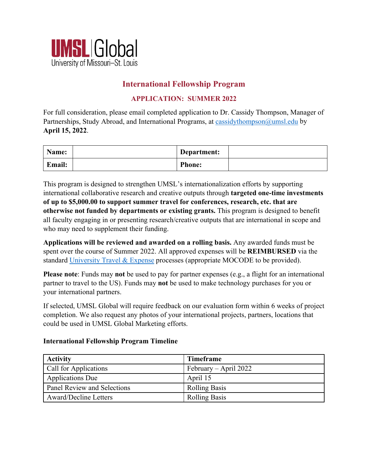

## **International Fellowship Program**

## **APPLICATION: SUMMER 2022**

For full consideration, please email completed application to Dr. Cassidy Thompson, Manager of Partnerships, Study Abroad, and International Programs, at [cassidythompson@umsl.edu](mailto:cassidythompson@umsl.edu) by **April 15, 2022**.

| Name:  | Department:   |  |
|--------|---------------|--|
| Email: | <b>Phone:</b> |  |

This program is designed to strengthen UMSL's internationalization efforts by supporting international collaborative research and creative outputs through **targeted one-time investments of up to \$5,000.00 to support summer travel for conferences, research, etc. that are otherwise not funded by departments or existing grants.** This program is designed to benefit all faculty engaging in or presenting research/creative outputs that are international in scope and who may need to supplement their funding.

**Applications will be reviewed and awarded on a rolling basis.** Any awarded funds must be spent over the course of Summer 2022. All approved expenses will be **REIMBURSED** via the standard [University Travel & Expense](https://www.umsystem.edu/ums/fa/finance-support-center/travel_and_expenses) processes (appropriate MOCODE to be provided).

**Please note**: Funds may **not** be used to pay for partner expenses (e.g., a flight for an international partner to travel to the US). Funds may **not** be used to make technology purchases for you or your international partners.

If selected, UMSL Global will require feedback on our evaluation form within 6 weeks of project completion. We also request any photos of your international projects, partners, locations that could be used in UMSL Global Marketing efforts.

## **International Fellowship Program Timeline**

| <b>Activity</b>              | <b>Timeframe</b>      |  |
|------------------------------|-----------------------|--|
| Call for Applications        | February – April 2022 |  |
| <b>Applications Due</b>      | April 15              |  |
| Panel Review and Selections  | <b>Rolling Basis</b>  |  |
| <b>Award/Decline Letters</b> | <b>Rolling Basis</b>  |  |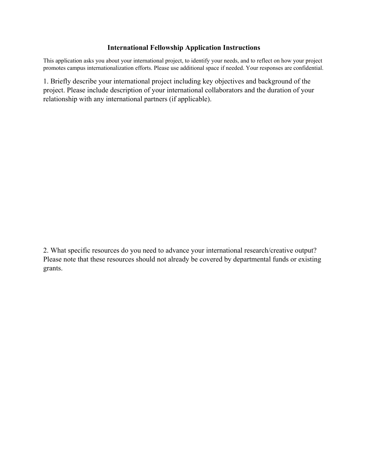## **International Fellowship Application Instructions**

This application asks you about your international project, to identify your needs, and to reflect on how your project promotes campus internationalization efforts. Please use additional space if needed. Your responses are confidential.

1. Briefly describe your international project including key objectives and background of the project. Please include description of your international collaborators and the duration of your relationship with any international partners (if applicable).

2. What specific resources do you need to advance your international research/creative output? Please note that these resources should not already be covered by departmental funds or existing grants.